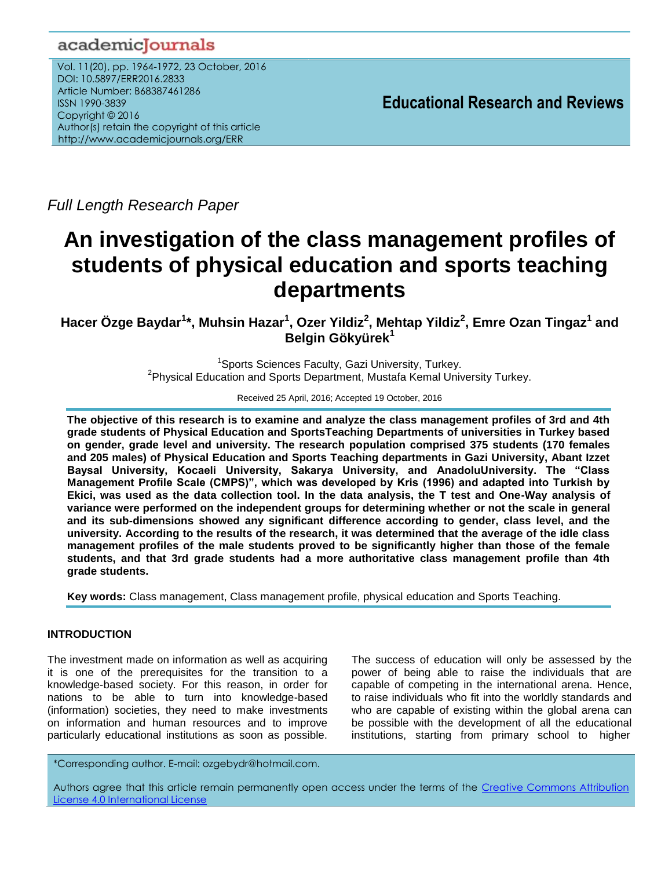# academicJournals

Vol. 11(20), pp. 1964-1972, 23 October, 2016 DOI: 10.5897/ERR2016.2833 Article Number: B68387461286 ISSN 1990-3839 Copyright © 2016 Author(s) retain the copyright of this article http://www.academicjournals.org/ERR

**Educational Research and Reviews**

*Full Length Research Paper*

# **An investigation of the class management profiles of students of physical education and sports teaching departments**

**Hacer Özge Baydar<sup>1</sup> \*, Muhsin Hazar<sup>1</sup> , Ozer Yildiz<sup>2</sup> , Mehtap Yildiz<sup>2</sup> , Emre Ozan Tingaz<sup>1</sup> and Belgin Gökyürek<sup>1</sup>**

> <sup>1</sup>Sports Sciences Faculty, Gazi University, Turkey. <sup>2</sup>Physical Education and Sports Department, Mustafa Kemal University Turkey.

> > Received 25 April, 2016; Accepted 19 October, 2016

**The objective of this research is to examine and analyze the class management profiles of 3rd and 4th grade students of Physical Education and SportsTeaching Departments of universities in Turkey based on gender, grade level and university. The research population comprised 375 students (170 females and 205 males) of Physical Education and Sports Teaching departments in Gazi University, Abant Izzet Baysal University, Kocaeli University, Sakarya University, and AnadoluUniversity. The "Class Management Profile Scale (CMPS)", which was developed by Kris (1996) and adapted into Turkish by Ekici, was used as the data collection tool. In the data analysis, the T test and One-Way analysis of variance were performed on the independent groups for determining whether or not the scale in general and its sub-dimensions showed any significant difference according to gender, class level, and the university. According to the results of the research, it was determined that the average of the idle class management profiles of the male students proved to be significantly higher than those of the female students, and that 3rd grade students had a more authoritative class management profile than 4th grade students.** 

**Key words:** Class management, Class management profile, physical education and Sports Teaching.

#### **INTRODUCTION**

The investment made on information as well as acquiring it is one of the prerequisites for the transition to a knowledge-based society. For this reason, in order for nations to be able to turn into knowledge-based (information) societies, they need to make investments on information and human resources and to improve particularly educational institutions as soon as possible.

The success of education will only be assessed by the power of being able to raise the individuals that are capable of competing in the international arena. Hence, to raise individuals who fit into the worldly standards and who are capable of existing within the global arena can be possible with the development of all the educational institutions, starting from primary school to higher

\*Corresponding author. E-mail: ozgebydr@hotmail.com.

Authors agree that this article remain permanently open access under the terms of the Creative Commons Attribution [License 4.0 International License](file://192.168.1.24/reading/Arts%20and%20Education/ERR/2014/sept/read/Correction%20Pdf%201/ERR-17.04.14-1816/Publication/Creative%20Co)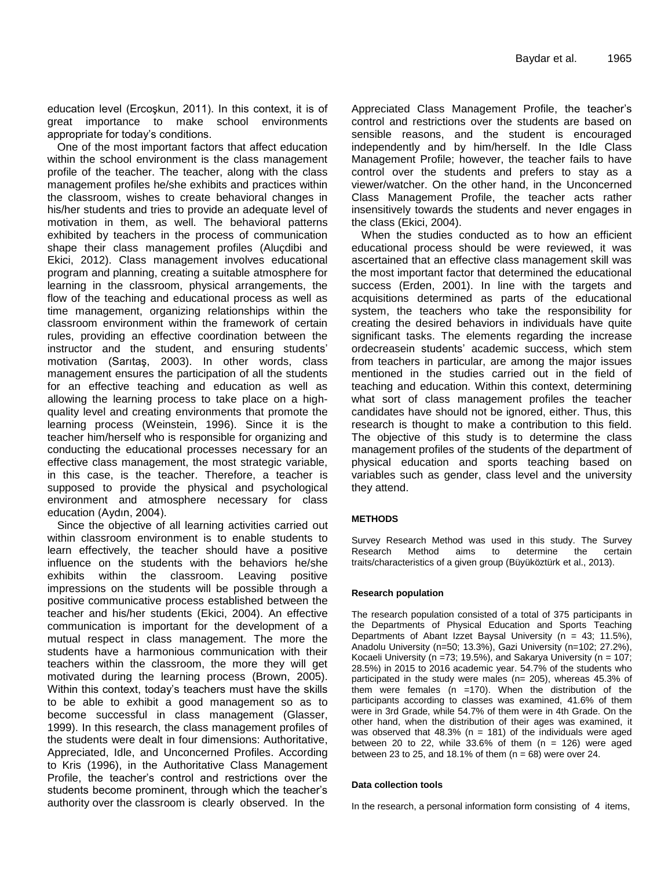education level (Ercoşkun, 2011). In this context, it is of great importance to make school environments appropriate for today's conditions.

One of the most important factors that affect education within the school environment is the class management profile of the teacher. The teacher, along with the class management profiles he/she exhibits and practices within the classroom, wishes to create behavioral changes in his/her students and tries to provide an adequate level of motivation in them, as well. The behavioral patterns exhibited by teachers in the process of communication shape their class management profiles (Aluçdibi and Ekici, 2012). Class management involves educational program and planning, creating a suitable atmosphere for learning in the classroom, physical arrangements, the flow of the teaching and educational process as well as time management, organizing relationships within the classroom environment within the framework of certain rules, providing an effective coordination between the instructor and the student, and ensuring students' motivation (Sarıtaş, 2003). In other words, class management ensures the participation of all the students for an effective teaching and education as well as allowing the learning process to take place on a highquality level and creating environments that promote the learning process (Weinstein, 1996). Since it is the teacher him/herself who is responsible for organizing and conducting the educational processes necessary for an effective class management, the most strategic variable, in this case, is the teacher. Therefore, a teacher is supposed to provide the physical and psychological environment and atmosphere necessary for class education (Aydın, 2004).

Since the objective of all learning activities carried out within classroom environment is to enable students to learn effectively, the teacher should have a positive influence on the students with the behaviors he/she exhibits within the classroom. Leaving positive impressions on the students will be possible through a positive communicative process established between the teacher and his/her students (Ekici, 2004). An effective communication is important for the development of a mutual respect in class management. The more the students have a harmonious communication with their teachers within the classroom, the more they will get motivated during the learning process (Brown, 2005). Within this context, today's teachers must have the skills to be able to exhibit a good management so as to become successful in class management (Glasser, 1999). In this research, the class management profiles of the students were dealt in four dimensions: Authoritative, Appreciated, Idle, and Unconcerned Profiles. According to Kris (1996), in the Authoritative Class Management Profile, the teacher's control and restrictions over the students become prominent, through which the teacher's authority over the classroom is clearly observed. In the

Appreciated Class Management Profile, the teacher's control and restrictions over the students are based on sensible reasons, and the student is encouraged independently and by him/herself. In the Idle Class Management Profile; however, the teacher fails to have control over the students and prefers to stay as a viewer/watcher. On the other hand, in the Unconcerned Class Management Profile, the teacher acts rather insensitively towards the students and never engages in the class (Ekici, 2004).

When the studies conducted as to how an efficient educational process should be were reviewed, it was ascertained that an effective class management skill was the most important factor that determined the educational success (Erden, 2001). In line with the targets and acquisitions determined as parts of the educational system, the teachers who take the responsibility for creating the desired behaviors in individuals have quite significant tasks. The elements regarding the increase ordecreasein students' academic success, which stem from teachers in particular, are among the major issues mentioned in the studies carried out in the field of teaching and education. Within this context, determining what sort of class management profiles the teacher candidates have should not be ignored, either. Thus, this research is thought to make a contribution to this field. The objective of this study is to determine the class management profiles of the students of the department of physical education and sports teaching based on variables such as gender, class level and the university they attend.

#### **METHODS**

Survey Research Method was used in this study. The Survey Research Method aims to determine the certain traits/characteristics of a given group (Büyüköztürk et al., 2013).

#### **Research population**

The research population consisted of a total of 375 participants in the Departments of Physical Education and Sports Teaching Departments of Abant Izzet Baysal University ( $n = 43$ ; 11.5%), Anadolu University (n=50; 13.3%), Gazi University (n=102; 27.2%), Kocaeli University (n =73; 19.5%), and Sakarya University (n =  $107$ ; 28.5%) in 2015 to 2016 academic year. 54.7% of the students who participated in the study were males (n= 205), whereas 45.3% of them were females ( $n = 170$ ). When the distribution of the participants according to classes was examined, 41.6% of them were in 3rd Grade, while 54.7% of them were in 4th Grade. On the other hand, when the distribution of their ages was examined, it was observed that  $48.3\%$  (n = 181) of the individuals were aged between 20 to 22, while  $33.6\%$  of them (n = 126) were aged between 23 to 25, and 18.1% of them  $(n = 68)$  were over 24.

#### **Data collection tools**

In the research, a personal information form consisting of 4 items,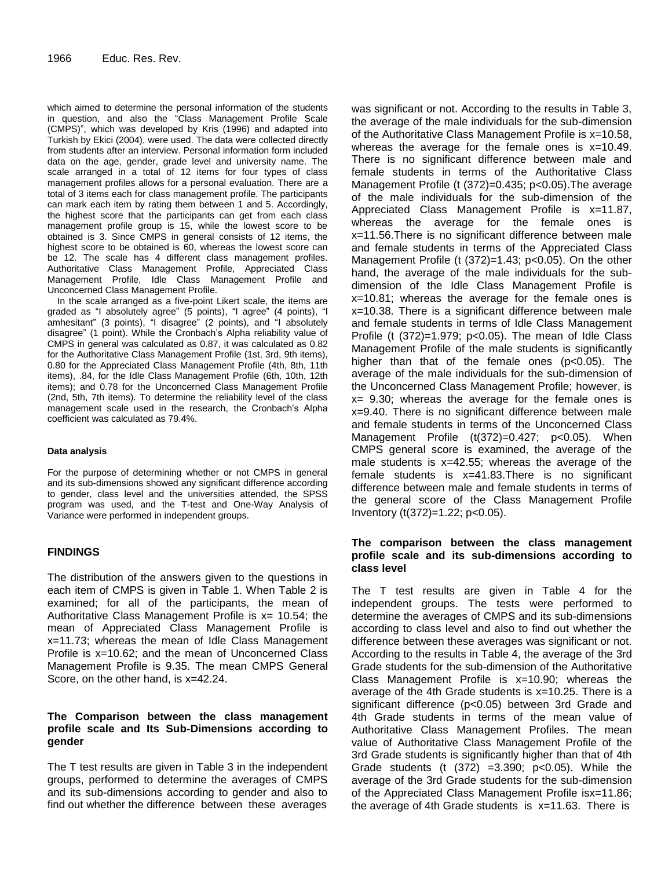which aimed to determine the personal information of the students in question, and also the "Class Management Profile Scale (CMPS)", which was developed by Kris (1996) and adapted into Turkish by Ekici (2004), were used. The data were collected directly from students after an interview. Personal information form included data on the age, gender, grade level and university name. The scale arranged in a total of 12 items for four types of class management profiles allows for a personal evaluation. There are a total of 3 items each for class management profile. The participants can mark each item by rating them between 1 and 5. Accordingly, the highest score that the participants can get from each class management profile group is 15, while the lowest score to be obtained is 3. Since CMPS in general consists of 12 items, the highest score to be obtained is 60, whereas the lowest score can be 12. The scale has 4 different class management profiles. Authoritative Class Management Profile, Appreciated Class Management Profile, Idle Class Management Profile and Unconcerned Class Management Profile.

In the scale arranged as a five-point Likert scale, the items are graded as "I absolutely agree" (5 points), "I agree" (4 points), "I amhesitant" (3 points), "I disagree" (2 points), and "I absolutely disagree" (1 point). While the Cronbach's Alpha reliability value of CMPS in general was calculated as 0.87, it was calculated as 0.82 for the Authoritative Class Management Profile (1st, 3rd, 9th items), 0.80 for the Appreciated Class Management Profile (4th, 8th, 11th items), .84, for the Idle Class Management Profile (6th, 10th, 12th items); and 0.78 for the Unconcerned Class Management Profile (2nd, 5th, 7th items). To determine the reliability level of the class management scale used in the research, the Cronbach's Alpha coefficient was calculated as 79.4%.

#### **Data analysis**

For the purpose of determining whether or not CMPS in general and its sub-dimensions showed any significant difference according to gender, class level and the universities attended, the SPSS program was used, and the T-test and One-Way Analysis of Variance were performed in independent groups.

#### **FINDINGS**

The distribution of the answers given to the questions in each item of CMPS is given in Table 1. When Table 2 is examined; for all of the participants, the mean of Authoritative Class Management Profile is  $x=$  10.54; the mean of Appreciated Class Management Profile is x=11.73; whereas the mean of Idle Class Management Profile is x=10.62; and the mean of Unconcerned Class Management Profile is 9.35. The mean CMPS General Score, on the other hand, is x=42.24.

#### **The Comparison between the class management profile scale and Its Sub-Dimensions according to gender**

The T test results are given in Table 3 in the independent groups, performed to determine the averages of CMPS and its sub-dimensions according to gender and also to find out whether the difference between these averages

was significant or not. According to the results in Table 3, the average of the male individuals for the sub-dimension of the Authoritative Class Management Profile is x=10.58, whereas the average for the female ones is  $x=10.49$ . There is no significant difference between male and female students in terms of the Authoritative Class Management Profile (t (372)=0.435; p<0.05).The average of the male individuals for the sub-dimension of the Appreciated Class Management Profile is x=11.87, whereas the average for the female ones is x=11.56.There is no significant difference between male and female students in terms of the Appreciated Class Management Profile (t (372)=1.43; p<0.05). On the other hand, the average of the male individuals for the subdimension of the Idle Class Management Profile is x=10.81; whereas the average for the female ones is x=10.38. There is a significant difference between male and female students in terms of Idle Class Management Profile (t (372)=1.979; p<0.05). The mean of Idle Class Management Profile of the male students is significantly higher than that of the female ones (p<0.05). The average of the male individuals for the sub-dimension of the Unconcerned Class Management Profile; however, is  $x = 9.30$ ; whereas the average for the female ones is x=9.40. There is no significant difference between male and female students in terms of the Unconcerned Class Management Profile (t(372)=0.427; p<0.05). When CMPS general score is examined, the average of the male students is x=42.55; whereas the average of the female students is x=41.83.There is no significant difference between male and female students in terms of the general score of the Class Management Profile Inventory (t(372)=1.22; p<0.05).

#### **The comparison between the class management profile scale and its sub-dimensions according to class level**

The T test results are given in Table 4 for the independent groups. The tests were performed to determine the averages of CMPS and its sub-dimensions according to class level and also to find out whether the difference between these averages was significant or not. According to the results in Table 4, the average of the 3rd Grade students for the sub-dimension of the Authoritative Class Management Profile is x=10.90; whereas the average of the 4th Grade students is x=10.25. There is a significant difference (p<0.05) between 3rd Grade and 4th Grade students in terms of the mean value of Authoritative Class Management Profiles. The mean value of Authoritative Class Management Profile of the 3rd Grade students is significantly higher than that of 4th Grade students (t (372) =3.390; p<0.05). While the average of the 3rd Grade students for the sub-dimension of the Appreciated Class Management Profile isx=11.86; the average of 4th Grade students is x=11.63. There is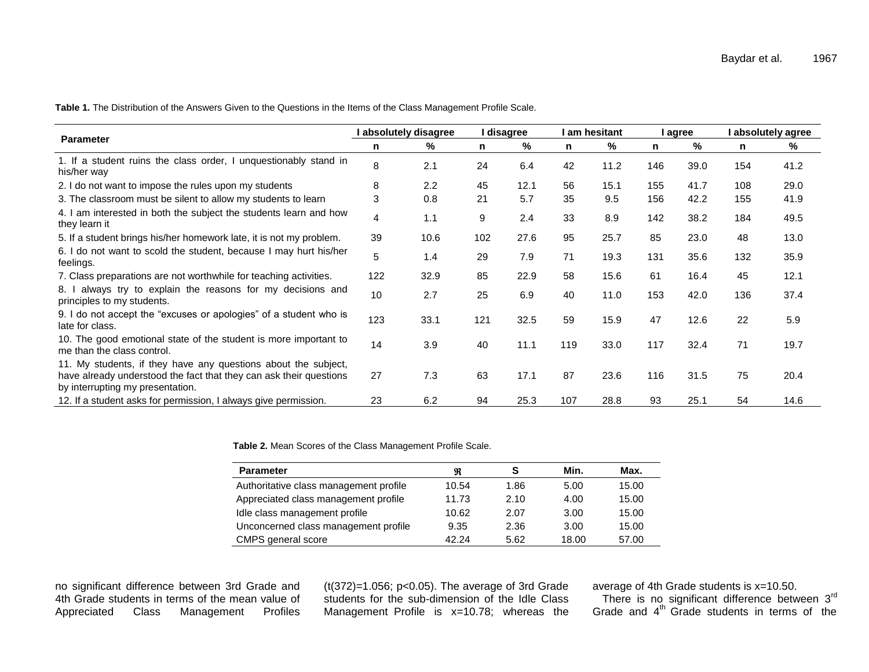**Table 1.** The Distribution of the Answers Given to the Questions in the Items of the Class Management Profile Scale.

| <b>Parameter</b>                                                                                                                                                         | l absolutely disagree |      | I disagree |      | I am hesitant |      | I agree |      | absolutely agree |      |
|--------------------------------------------------------------------------------------------------------------------------------------------------------------------------|-----------------------|------|------------|------|---------------|------|---------|------|------------------|------|
|                                                                                                                                                                          | n                     | %    | n          | %    | n             | %    | n       | %    | n                | ℅    |
| 1. If a student ruins the class order, I unquestionably stand in<br>his/her way                                                                                          | 8                     | 2.1  | 24         | 6.4  | 42            | 11.2 | 146     | 39.0 | 154              | 41.2 |
| 2. I do not want to impose the rules upon my students                                                                                                                    | 8                     | 2.2  | 45         | 12.1 | 56            | 15.1 | 155     | 41.7 | 108              | 29.0 |
| 3. The classroom must be silent to allow my students to learn                                                                                                            | 3                     | 0.8  | 21         | 5.7  | 35            | 9.5  | 156     | 42.2 | 155              | 41.9 |
| 4. I am interested in both the subject the students learn and how<br>they learn it                                                                                       | 4                     | 1.1  | 9          | 2.4  | 33            | 8.9  | 142     | 38.2 | 184              | 49.5 |
| 5. If a student brings his/her homework late, it is not my problem.                                                                                                      | 39                    | 10.6 | 102        | 27.6 | 95            | 25.7 | 85      | 23.0 | 48               | 13.0 |
| 6. I do not want to scold the student, because I may hurt his/her<br>feelings.                                                                                           | 5                     | 1.4  | 29         | 7.9  | 71            | 19.3 | 131     | 35.6 | 132              | 35.9 |
| 7. Class preparations are not worthwhile for teaching activities.                                                                                                        | 122                   | 32.9 | 85         | 22.9 | 58            | 15.6 | 61      | 16.4 | 45               | 12.1 |
| always try to explain the reasons for my decisions and<br>8. I<br>principles to my students.                                                                             | 10                    | 2.7  | 25         | 6.9  | 40            | 11.0 | 153     | 42.0 | 136              | 37.4 |
| 9. I do not accept the "excuses or apologies" of a student who is<br>late for class.                                                                                     | 123                   | 33.1 | 121        | 32.5 | 59            | 15.9 | 47      | 12.6 | 22               | 5.9  |
| 10. The good emotional state of the student is more important to<br>me than the class control.                                                                           | 14                    | 3.9  | 40         | 11.1 | 119           | 33.0 | 117     | 32.4 | 71               | 19.7 |
| 11. My students, if they have any questions about the subject,<br>have already understood the fact that they can ask their questions<br>by interrupting my presentation. | 27                    | 7.3  | 63         | 17.1 | 87            | 23.6 | 116     | 31.5 | 75               | 20.4 |
| 12. If a student asks for permission, I always give permission.                                                                                                          | 23                    | 6.2  | 94         | 25.3 | 107           | 28.8 | 93      | 25.1 | 54               | 14.6 |

**Table 2.** Mean Scores of the Class Management Profile Scale.

| <b>Parameter</b>                       | R     | s    | Min.  | Max.  |
|----------------------------------------|-------|------|-------|-------|
| Authoritative class management profile | 10.54 | 1.86 | 5.00  | 15.00 |
| Appreciated class management profile   | 11.73 | 2.10 | 4.00  | 15.00 |
| Idle class management profile          | 10.62 | 2.07 | 3.00  | 15.00 |
| Unconcerned class management profile   | 9.35  | 2.36 | 3.00  | 15.00 |
| CMPS general score                     | 42.24 | 5.62 | 18.00 | 57.00 |

no significant difference between 3rd Grade and 4th Grade students in terms of the mean value of<br>Appreciated Class Management Profiles Class Management Profiles

(t(372)=1.056; p<0.05). The average of 3rd Grade students for the sub-dimension of the Idle Class Management Profile is x=10.78; whereas the average of 4th Grade students is x=10.50. There is no significant difference between  $3<sup>rd</sup>$ 

Grade and 4<sup>th</sup> Grade students in terms of the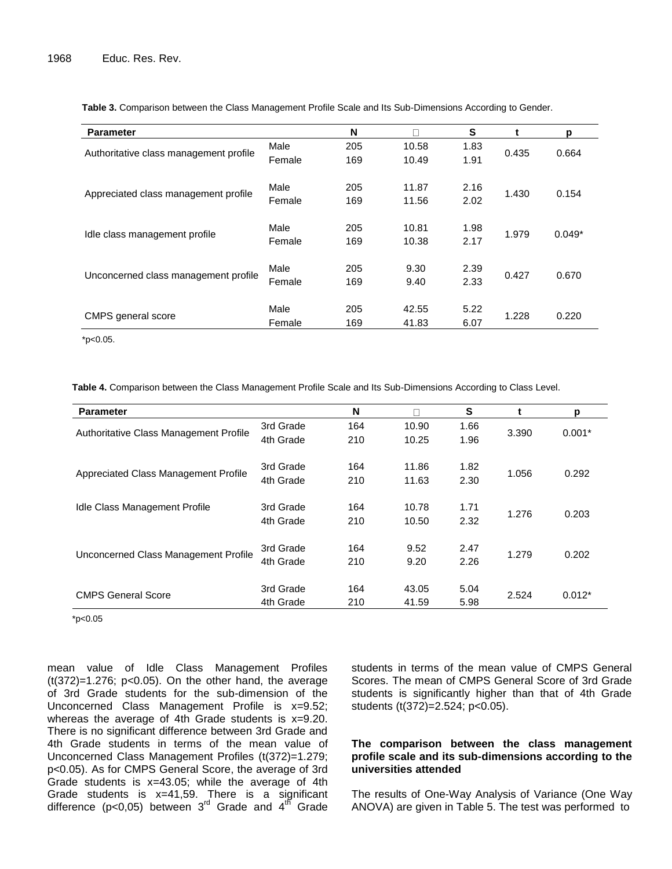| <b>Parameter</b>                       |        | N   |       | S    | t     | p        |  |
|----------------------------------------|--------|-----|-------|------|-------|----------|--|
| Authoritative class management profile | Male   | 205 | 10.58 | 1.83 | 0.435 | 0.664    |  |
|                                        | Female | 169 | 10.49 | 1.91 |       |          |  |
|                                        | Male   | 205 | 11.87 | 2.16 |       | 0.154    |  |
| Appreciated class management profile   | Female | 169 | 11.56 | 2.02 | 1.430 |          |  |
|                                        |        |     |       |      |       |          |  |
| Idle class management profile          | Male   | 205 | 10.81 | 1.98 | 1.979 | $0.049*$ |  |
|                                        | Female | 169 | 10.38 | 2.17 |       |          |  |
|                                        | Male   | 205 | 9.30  | 2.39 |       |          |  |
| Unconcerned class management profile   | Female | 169 | 9.40  | 2.33 | 0.427 | 0.670    |  |
|                                        |        |     |       |      |       |          |  |
|                                        | Male   | 205 | 42.55 | 5.22 |       |          |  |
| CMPS general score                     | Female | 169 | 41.83 | 6.07 | 1.228 | 0.220    |  |

**Table 3.** Comparison between the Class Management Profile Scale and Its Sub-Dimensions According to Gender.

\*p<0.05.

**Table 4.** Comparison between the Class Management Profile Scale and Its Sub-Dimensions According to Class Level.

| <b>Parameter</b>                       |           | N   | ┑.    | S    |       | p        |  |
|----------------------------------------|-----------|-----|-------|------|-------|----------|--|
| Authoritative Class Management Profile | 3rd Grade | 164 | 10.90 | 1.66 | 3.390 | $0.001*$ |  |
|                                        | 4th Grade | 210 | 10.25 | 1.96 |       |          |  |
|                                        | 3rd Grade | 164 | 11.86 | 1.82 | 1.056 | 0.292    |  |
| Appreciated Class Management Profile   | 4th Grade | 210 | 11.63 | 2.30 |       |          |  |
| Idle Class Management Profile          | 3rd Grade | 164 | 10.78 | 1.71 | 1.276 | 0.203    |  |
|                                        | 4th Grade | 210 | 10.50 | 2.32 |       |          |  |
| Unconcerned Class Management Profile   | 3rd Grade | 164 | 9.52  | 2.47 |       |          |  |
|                                        | 4th Grade | 210 | 9.20  | 2.26 | 1.279 | 0.202    |  |
| <b>CMPS General Score</b>              | 3rd Grade | 164 | 43.05 | 5.04 |       |          |  |
|                                        | 4th Grade | 210 | 41.59 | 5.98 | 2.524 | $0.012*$ |  |

\*p<0.05

mean value of Idle Class Management Profiles  $(t(372)=1.276; p<0.05)$ . On the other hand, the average of 3rd Grade students for the sub-dimension of the Unconcerned Class Management Profile is x=9.52; whereas the average of 4th Grade students is x=9.20. There is no significant difference between 3rd Grade and 4th Grade students in terms of the mean value of Unconcerned Class Management Profiles (t(372)=1.279; p<0.05). As for CMPS General Score, the average of 3rd Grade students is x=43.05; while the average of 4th Grade students is x=41,59. There is a significant difference (p<0,05) between 3<sup>rd</sup> Grade and 4<sup>th</sup> Grade

students in terms of the mean value of CMPS General Scores. The mean of CMPS General Score of 3rd Grade students is significantly higher than that of 4th Grade students (t(372)=2.524; p<0.05).

#### **The comparison between the class management profile scale and its sub-dimensions according to the universities attended**

The results of One-Way Analysis of Variance (One Way ANOVA) are given in Table 5. The test was performed to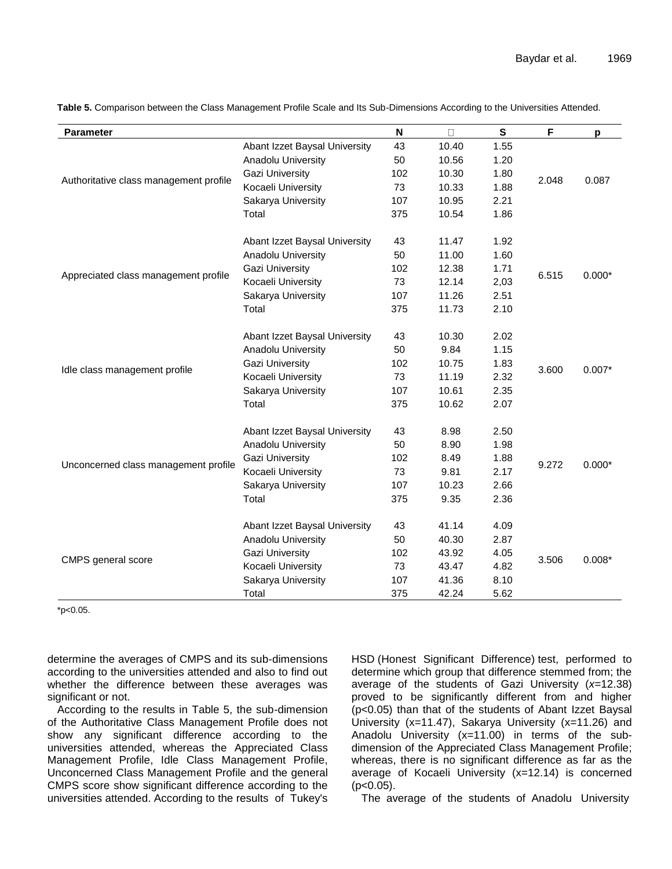| <b>Parameter</b>                       |                               | N            | $\Box$ | ${\bf S}$ | F     | p        |
|----------------------------------------|-------------------------------|--------------|--------|-----------|-------|----------|
| Authoritative class management profile | Abant Izzet Baysal University | 43           | 10.40  | 1.55      |       |          |
|                                        | Anadolu University            | 50           | 10.56  | 1.20      |       |          |
|                                        | <b>Gazi University</b>        | 102          | 10.30  | 1.80      |       |          |
|                                        | Kocaeli University            | 73           | 10.33  | 1.88      | 2.048 | 0.087    |
|                                        | Sakarya University            | 107          | 10.95  | 2.21      |       |          |
|                                        | Total                         | 375          | 10.54  | 1.86      |       |          |
|                                        | Abant Izzet Baysal University | 43           | 11.47  | 1.92      |       | $0.000*$ |
|                                        | Anadolu University            | 50           | 11.00  | 1.60      |       |          |
|                                        | <b>Gazi University</b>        | 102          | 12.38  | 1.71      |       |          |
| Appreciated class management profile   | Kocaeli University            | 73           | 12.14  | 2,03      | 6.515 |          |
|                                        | Sakarya University            | 107          | 11.26  | 2.51      |       |          |
|                                        | Total                         | 375          | 11.73  | 2.10      |       |          |
| Idle class management profile          | Abant Izzet Baysal University | 43           | 10.30  | 2.02      |       | $0.007*$ |
|                                        | Anadolu University            | 50           | 9.84   | 1.15      |       |          |
|                                        | <b>Gazi University</b>        | 102          | 10.75  | 1.83      |       |          |
|                                        | Kocaeli University            | 73           | 11.19  | 2.32      | 3.600 |          |
|                                        | Sakarya University            | 107          | 10.61  | 2.35      |       |          |
|                                        | Total                         | 375          | 10.62  | 2.07      |       |          |
|                                        | Abant Izzet Baysal University | 43           | 8.98   | 2.50      |       | $0.000*$ |
|                                        | Anadolu University            | 50           | 8.90   | 1.98      |       |          |
|                                        | <b>Gazi University</b>        | 102          | 8.49   | 1.88      |       |          |
| Unconcerned class management profile   | Kocaeli University            | 73           | 9.81   | 2.17      | 9.272 |          |
|                                        | Sakarya University            | 107          | 10.23  | 2.66      |       |          |
|                                        | Total                         | 375          | 9.35   | 2.36      |       |          |
| CMPS general score                     | Abant Izzet Baysal University | 43           | 41.14  | 4.09      |       |          |
|                                        | Anadolu University            | 50           | 40.30  | 2.87      |       |          |
|                                        | Gazi University               | 43.92<br>102 |        | 4.05      |       |          |
|                                        | Kocaeli University            | 73           | 43.47  | 4.82      | 3.506 | $0.008*$ |
|                                        | Sakarya University            | 107          | 41.36  | 8.10      |       |          |
|                                        | Total                         | 375          | 42.24  | 5.62      |       |          |

**Table 5.** Comparison between the Class Management Profile Scale and Its Sub-Dimensions According to the Universities Attended.

\*p<0.05.

determine the averages of CMPS and its sub-dimensions according to the universities attended and also to find out whether the difference between these averages was significant or not.

According to the results in Table 5, the sub-dimension of the Authoritative Class Management Profile does not show any significant difference according to the universities attended, whereas the Appreciated Class Management Profile, Idle Class Management Profile, Unconcerned Class Management Profile and the general CMPS score show significant difference according to the universities attended. According to the results of Tukey's HSD (Honest Significant Difference) test, performed to determine which group that difference stemmed from; the average of the students of Gazi University (*x=*12.38) proved to be significantly different from and higher (p<0.05) than that of the students of Abant Izzet Baysal University (x=11.47), Sakarya University (x=11.26) and Anadolu University (x=11.00) in terms of the subdimension of the Appreciated Class Management Profile; whereas, there is no significant difference as far as the average of Kocaeli University (x=12.14) is concerned  $(p<0.05)$ .

The average of the students of Anadolu University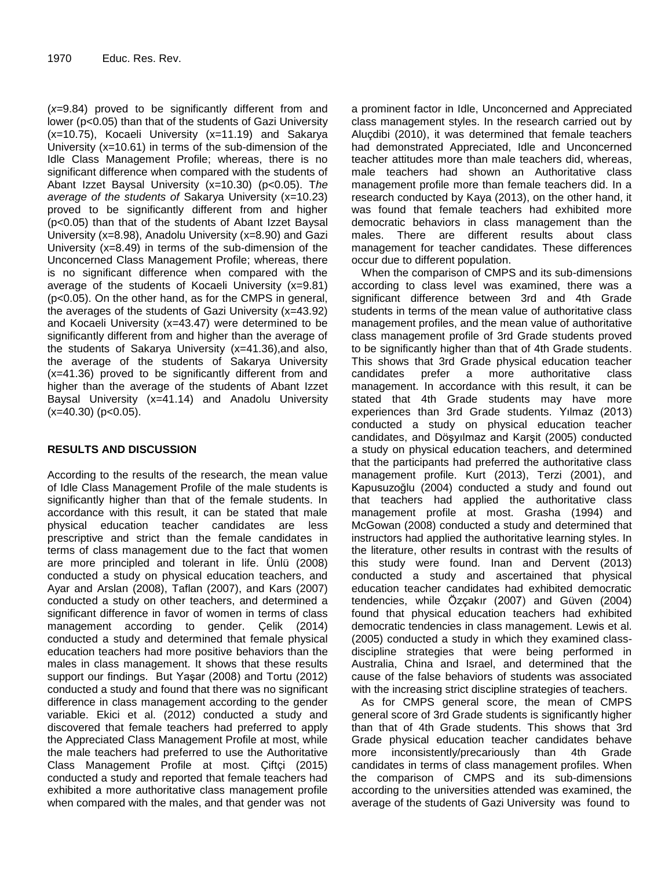(*x=*9.84) proved to be significantly different from and lower (p<0.05) than that of the students of Gazi University (x=10.75), Kocaeli University (x=11.19) and Sakarya University (x=10.61) in terms of the sub-dimension of the Idle Class Management Profile; whereas, there is no significant difference when compared with the students of Abant Izzet Baysal University (x=10.30) (p<0.05). T*he average of the students of* Sakarya University (x=10.23) proved to be significantly different from and higher (p<0.05) than that of the students of Abant Izzet Baysal University (x=8.98), Anadolu University (x=8.90) and Gazi University (x=8.49) in terms of the sub-dimension of the Unconcerned Class Management Profile; whereas, there is no significant difference when compared with the average of the students of Kocaeli University (x=9.81) (p<0.05). On the other hand, as for the CMPS in general, the averages of the students of Gazi University (x=43.92) and Kocaeli University (x=43.47) were determined to be significantly different from and higher than the average of the students of Sakarya University (x=41.36),and also, the average of the students of Sakarya University (x=41.36) proved to be significantly different from and higher than the average of the students of Abant Izzet Baysal University (x=41.14) and Anadolu University  $(x=40.30)$  ( $p<0.05$ ).

## **RESULTS AND DISCUSSION**

According to the results of the research, the mean value of Idle Class Management Profile of the male students is significantly higher than that of the female students. In accordance with this result, it can be stated that male physical education teacher candidates are less prescriptive and strict than the female candidates in terms of class management due to the fact that women are more principled and tolerant in life. Ünlü (2008) conducted a study on physical education teachers, and Ayar and Arslan (2008), Taflan (2007), and Kars (2007) conducted a study on other teachers, and determined a significant difference in favor of women in terms of class management according to gender. Çelik (2014) conducted a study and determined that female physical education teachers had more positive behaviors than the males in class management. It shows that these results support our findings. But Yaşar (2008) and Tortu (2012) conducted a study and found that there was no significant difference in class management according to the gender variable. Ekici et al. (2012) conducted a study and discovered that female teachers had preferred to apply the Appreciated Class Management Profile at most, while the male teachers had preferred to use the Authoritative Class Management Profile at most. Çiftçi (2015) conducted a study and reported that female teachers had exhibited a more authoritative class management profile when compared with the males, and that gender was not a prominent factor in Idle, Unconcerned and Appreciated class management styles. In the research carried out by Aluçdibi (2010), it was determined that female teachers had demonstrated Appreciated, Idle and Unconcerned teacher attitudes more than male teachers did, whereas, male teachers had shown an Authoritative class management profile more than female teachers did. In a research conducted by Kaya (2013), on the other hand, it was found that female teachers had exhibited more democratic behaviors in class management than the males. There are different results about class management for teacher candidates. These differences occur due to different population.

When the comparison of CMPS and its sub-dimensions according to class level was examined, there was a significant difference between 3rd and 4th Grade students in terms of the mean value of authoritative class management profiles, and the mean value of authoritative class management profile of 3rd Grade students proved to be significantly higher than that of 4th Grade students. This shows that 3rd Grade physical education teacher<br>candidates prefer a more authoritative class candidates prefer a more authoritative class management. In accordance with this result, it can be stated that 4th Grade students may have more experiences than 3rd Grade students. Yılmaz (2013) conducted a study on physical education teacher candidates, and Döşyılmaz and Karşit (2005) conducted a study on physical education teachers, and determined that the participants had preferred the authoritative class management profile. Kurt (2013), Terzi (2001), and Kapusuzoğlu (2004) conducted a study and found out that teachers had applied the authoritative class management profile at most. Grasha (1994) and McGowan (2008) conducted a study and determined that instructors had applied the authoritative learning styles. In the literature, other results in contrast with the results of this study were found. Inan and Dervent (2013) conducted a study and ascertained that physical education teacher candidates had exhibited democratic tendencies, while Özçakır (2007) and Güven (2004) found that physical education teachers had exhibited democratic tendencies in class management. Lewis et al. (2005) conducted a study in which they examined classdiscipline strategies that were being performed in Australia, China and Israel, and determined that the cause of the false behaviors of students was associated with the increasing strict discipline strategies of teachers.

As for CMPS general score, the mean of CMPS general score of 3rd Grade students is significantly higher than that of 4th Grade students. This shows that 3rd Grade physical education teacher candidates behave more inconsistently/precariously than 4th Grade candidates in terms of class management profiles. When the comparison of CMPS and its sub-dimensions according to the universities attended was examined, the average of the students of Gazi University was found to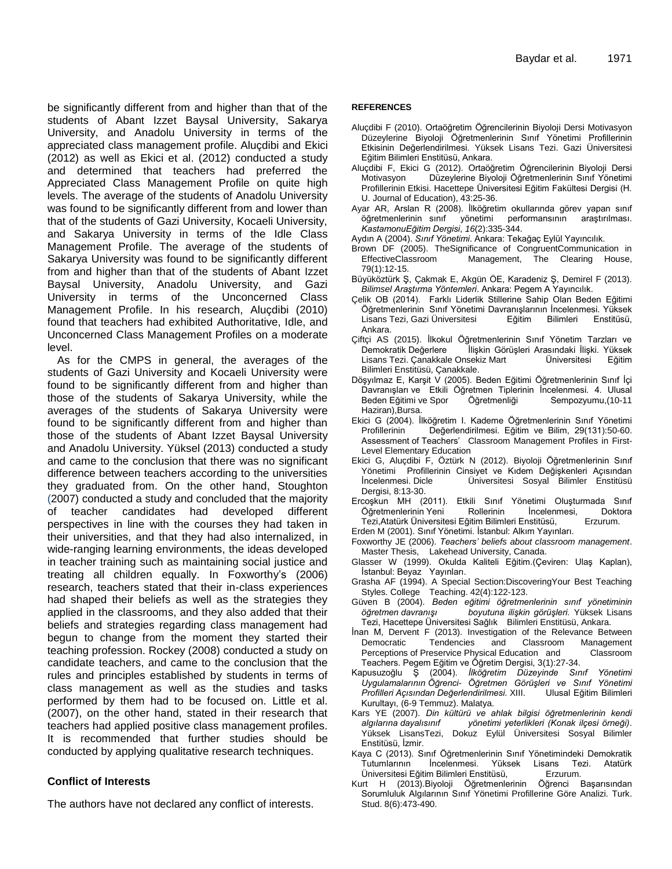be significantly different from and higher than that of the students of Abant Izzet Baysal University, Sakarya University, and Anadolu University in terms of the appreciated class management profile. Aluçdibi and Ekici (2012) as well as Ekici et al. (2012) conducted a study and determined that teachers had preferred the Appreciated Class Management Profile on quite high levels. The average of the students of Anadolu University was found to be significantly different from and lower than that of the students of Gazi University, Kocaeli University, and Sakarya University in terms of the Idle Class Management Profile. The average of the students of Sakarya University was found to be significantly different from and higher than that of the students of Abant Izzet Baysal University, Anadolu University, and Gazi University in terms of the Unconcerned Class Management Profile. In his research, Aluçdibi (2010) found that teachers had exhibited Authoritative, Idle, and Unconcerned Class Management Profiles on a moderate level.

As for the CMPS in general, the averages of the students of Gazi University and Kocaeli University were found to be significantly different from and higher than those of the students of Sakarya University, while the averages of the students of Sakarya University were found to be significantly different from and higher than those of the students of Abant Izzet Baysal University and Anadolu University. Yüksel (2013) conducted a study and came to the conclusion that there was no significant difference between teachers according to the universities they graduated from. On the other hand, Stoughton (2007) conducted a study and concluded that the majority of teacher candidates had developed different perspectives in line with the courses they had taken in their universities, and that they had also internalized, in wide-ranging learning environments, the ideas developed in teacher training such as maintaining social justice and treating all children equally. In Foxworthy's (2006) research, teachers stated that their in-class experiences had shaped their beliefs as well as the strategies they applied in the classrooms, and they also added that their beliefs and strategies regarding class management had begun to change from the moment they started their teaching profession. Rockey (2008) conducted a study on candidate teachers, and came to the conclusion that the rules and principles established by students in terms of class management as well as the studies and tasks performed by them had to be focused on. Little et al. (2007), on the other hand, stated in their research that teachers had applied positive class management profiles. It is recommended that further studies should be conducted by applying qualitative research techniques.

## **Conflict of Interests**

The authors have not declared any conflict of interests.

#### **REFERENCES**

- Aluçdibi F (2010). Ortaöğretim Öğrencilerinin Biyoloji Dersi Motivasyon Düzeylerine Biyoloji Öğretmenlerinin Sınıf Yönetimi Profillerinin Etkisinin Değerlendirilmesi. Yüksek Lisans Tezi. Gazi Üniversitesi Eğitim Bilimleri Enstitüsü, Ankara.
- Aluçdibi F, Ekici G (2012). Ortaöğretim Öğrencilerinin Biyoloji Dersi Motivasyon Düzeylerine Biyoloji Öğretmenlerinin Sınıf Yönetimi Profillerinin Etkisi. Hacettepe Üniversitesi Eğitim Fakültesi Dergisi (H. U. Journal of Education), 43:25-36.
- Ayar AR, Arslan R (2008). İlköğretim okullarında görev yapan sınıf öğretmenlerinin sınıf yönetimi performansının araştırılması. *KastamonuEğitim Dergisi*, *16*(2):335-344.
- Aydın A (2004). *Sınıf Yönetimi*. Ankara: Tekağaç Eylül Yayıncılık.
- Brown DF (2005). TheSignificance of CongruentCommunication in<br>EffectiveClassroom Management, The Clearing House. Management, The Clearing House, 79(1):12-15.
- Büyüköztürk Ş, Çakmak E, Akgün ÖE, Karadeniz Ş, Demirel F (2013). *Bilimsel Araştırma Yöntemleri*. Ankara: Pegem A Yayıncılık.
- Çelik OB (2014). Farklı Liderlik Stillerine Sahip Olan Beden Eğitimi Öğretmenlerinin Sınıf Yönetimi Davranışlarının İncelenmesi. Yüksek Lisans Tezi, Gazi Üniversitesi Eğitim Bilimleri Enstitüsü, Ankara.
- Çiftçi AS (2015). İlkokul Öğretmenlerinin Sınıf Yönetim Tarzları ve Demokratik Değerlere İlişkin Görüşleri Arasındaki İlişki. Yüksek Lisans Tezi. Çanakkale Onsekiz Mart Üniversitesi Eğitim Bilimleri Enstitüsü, Çanakkale.
- Döşyılmaz E, Karşit V (2005). Beden Eğitimi Öğretmenlerinin Sınıf İçi Davranışları ve Etkili Öğretmen Tiplerinin İncelenmesi. 4. Ulusal Beden Eğitimi ve Spor Öğretmenliği Sempozyumu,(10-11 Haziran),Bursa.
- Ekici G (2004). İlköğretim I. Kademe Öğretmenlerinin Sınıf Yönetimi Profillerinin Değerlendirilmesi. Eğitim ve Bilim, 29(131):50-60. Assessment of Teachers' Classroom Management Profiles in First-Level Elementary Education
- Ekici G, Aluçdibi F, Öztürk N (2012). Biyoloji Öğretmenlerinin Sınıf Yönetimi Profillerinin Cinsiyet ve Kıdem Değişkenleri Açısından<br>İncelenmesi Dicle Üniversitesi Sosyal Bilimler Enstitüsü Üniversitesi Sosyal Bilimler Enstitüsü Dergisi, 8:13-30.
- Ercoşkun MH (2011). Etkili Sınıf Yönetimi Oluşturmada Sınıf Öğretmenlerinin Yeni Rollerinin İncelenmesi, Doktora Tezi,Atatürk Üniversitesi Eğitim Bilimleri Enstitüsü, Erzurum.
- Erden M (2001). Sınıf Yönetimi. İstanbul: Alkım Yayınları.
- Foxworthy JE (2006). *Teachers' beliefs about classroom management*. Master Thesis, Lakehead University, Canada.
- Glasser W (1999). Okulda Kaliteli Eğitim.(Çeviren: Ulaş Kaplan), İstanbul: Beyaz Yayınları.
- Grasha AF (1994). A Special Section:DiscoveringYour Best Teaching Styles. College Teaching. 42(4):122-123.
- Güven B (2004). *Beden eğitimi öğretmenlerinin sınıf yönetiminin öğretmen davranışı boyutuna ilişkin görüşleri.* Yüksek Lisans Tezi, Hacettepe Üniversitesi Sağlık Bilimleri Enstitüsü, Ankara.
- İnan M, Dervent F (2013). Investigation of the Relevance Between Democratic Tendencies and Classroom Management Perceptions of Preservice Physical Education and Classroom Teachers. Pegem Eğitim ve Öğretim Dergisi, 3(1):27-34.
- Kapusuzoğlu Ş (2004). *İlköğretim Düzeyinde Sınıf Yönetimi Uygulamalarının Öğrenci- Öğretmen Görüşleri ve Sınıf Yönetimi Profilleri Açısından Değerlendirilmesi.* XIII. Ulusal Eğitim Bilimleri Kurultayı, (6-9 Temmuz). Malatya.
- Kars YE (2007). *Din kültürü ve ahlak bilgisi öğretmenlerinin kendi algılarına dayalısınıf yönetimi yeterlikleri (Konak ilçesi örneği)*. Yüksek LisansTezi, Dokuz Eylül Üniversitesi Sosyal Bilimler Enstitüsü, İzmir.
- Kaya C (2013). Sınıf Öğretmenlerinin Sınıf Yönetimindeki Demokratik Tutumlarının İncelenmesi. Yüksek Lisans Tezi. Atatürk Üniversitesi Eğitim Bilimleri Enstitüsü, Erzurum.
- Kurt H (2013).Biyoloji Öğretmenlerinin Öğrenci Başarısından Sorumluluk Algılarının Sınıf Yönetimi Profillerine Göre Analizi. Turk. Stud. 8(6):473-490.